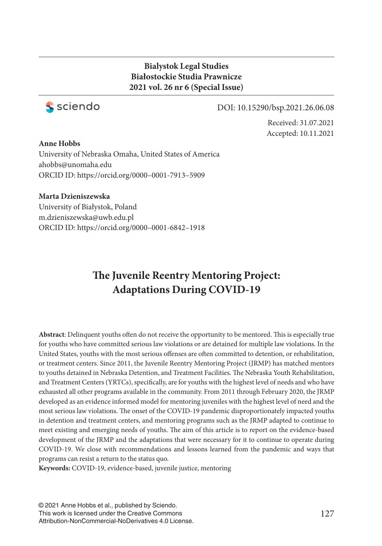### **Bialystok Legal Studies Białostockie Studia Prawnicze 2021 vol. 26 nr 6 (Special Issue)**



#### DOI: 10.15290/bsp.2021.26.06.08

Received: 31.07.2021 Accepted: 10.11.2021

#### **Anne Hobbs**

University of Nebraska Omaha, United States of America ahobbs@unomaha.edu ORCID ID: https://orcid.org/0000–0001-7913–5909

#### **Marta Dzieniszewska**

University of Białystok, Poland m.dzieniszewska@uwb.edu.pl ORCID ID: https://orcid.org/0000–0001-6842–1918

# **The Juvenile Reentry Mentoring Project: Adaptations During COVID-19**

Abstract: Delinquent youths often do not receive the opportunity to be mentored. This is especially true for youths who have committed serious law violations or are detained for multiple law violations. In the United States, youths with the most serious offenses are often committed to detention, or rehabilitation, or treatment centers. Since 2011, the Juvenile Reentry Mentoring Project (JRMP) has matched mentors to youths detained in Nebraska Detention, and Treatment Facilities. The Nebraska Youth Rehabilitation, and Treatment Centers (YRTCs), specifically, are for youths with the highest level of needs and who have exhausted all other programs available in the community. From 2011 through February 2020, the JRMP developed as an evidence informed model for mentoring juveniles with the highest level of need and the most serious law violations. The onset of the COVID-19 pandemic disproportionately impacted youths in detention and treatment centers, and mentoring programs such as the JRMP adapted to continue to meet existing and emerging needs of youths. The aim of this article is to report on the evidence-based development of the JRMP and the adaptations that were necessary for it to continue to operate during COVID-19. We close with recommendations and lessons learned from the pandemic and ways that programs can resist a return to the status quo.

**Keywords:** COVID-19, evidence-based, juvenile justice, mentoring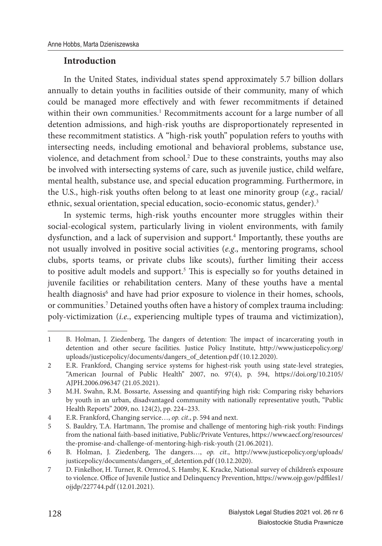### **Introduction**

In the United States, individual states spend approximately 5.7 billion dollars annually to detain youths in facilities outside of their community, many of which could be managed more effectively and with fewer recommitments if detained within their own communities.<sup>1</sup> Recommitments account for a large number of all detention admissions, and high-risk youths are disproportionately represented in these recommitment statistics. A "high-risk youth" population refers to youths with intersecting needs, including emotional and behavioral problems, substance use, violence, and detachment from school.<sup>2</sup> Due to these constraints, youths may also be involved with intersecting systems of care, such as juvenile justice, child welfare, mental health, substance use, and special education programming. Furthermore, in the U.S., high-risk youths often belong to at least one minority group (*e.g.*, racial/ ethnic, sexual orientation, special education, socio-economic status, gender).<sup>3</sup>

In systemic terms, high-risk youths encounter more struggles within their social-ecological system, particularly living in violent environments, with family dysfunction, and a lack of supervision and support.<sup>4</sup> Importantly, these youths are not usually involved in positive social activities (*e.g*., mentoring programs, school clubs, sports teams, or private clubs like scouts), further limiting their access to positive adult models and support.<sup>5</sup> This is especially so for youths detained in juvenile facilities or rehabilitation centers. Many of these youths have a mental health diagnosis<sup>6</sup> and have had prior exposure to violence in their homes, schools, or communities.<sup>7</sup> Detained youths often have a history of complex trauma including: poly-victimization (*i.e*., experiencing multiple types of trauma and victimization),

<sup>1</sup> B. Holman, J. Ziedenberg, The dangers of detention: The impact of incarcerating youth in detention and other secure facilities. Justice Policy Institute, http://www.justicepolicy.org/ uploads/justicepolicy/documents/dangers\_of\_detention.pdf (10.12.2020).

<sup>2</sup> E.R. Frankford, Changing service systems for highest-risk youth using state-level strategies, "American Journal of Public Health" 2007, no. 97(4), p. 594, https://doi.org/10.2105/ AJPH.2006.096347 (21.05.2021).

<sup>3</sup> M.H. Swahn, R.M. Bossarte, Assessing and quantifying high risk: Comparing risky behaviors by youth in an urban, disadvantaged community with nationally representative youth, "Public Health Reports'' 2009, no. 124(2), pp. 224–233.

<sup>4</sup> E.R. Frankford, Changing service…, *op. cit*., p. 594 and next.

<sup>5</sup> S. Bauldry, T.A. Hartmann, The promise and challenge of mentoring high-risk youth: Findings from the national faith-based initiative, Public/Private Ventures, https://www.aecf.org/resources/ the-promise-and-challenge-of-mentoring-high-risk-youth (21.06.2021).

<sup>6</sup> B. Holman, J. Ziedenberg, The dangers..., op. cit., http://www.justicepolicy.org/uploads/ justicepolicy/documents/dangers\_of\_detention.pdf (10.12.2020).

<sup>7</sup> D. Finkelhor, H. Turner, R. Ormrod, S. Hamby, K. Kracke, National survey of children's exposure to violence. Office of Juvenile Justice and Delinquency Prevention, https://www.ojp.gov/pdffiles1/ ojjdp/227744.pdf (12.01.2021).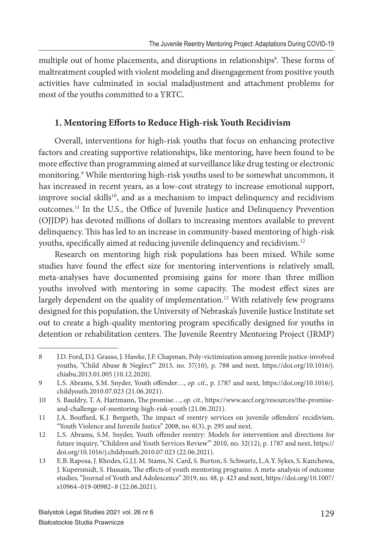multiple out of home placements, and disruptions in relationships<sup>8</sup>. These forms of maltreatment coupled with violent modeling and disengagement from positive youth activities have culminated in social maladjustment and attachment problems for most of the youths committed to a YRTC.

### 1. Mentoring Efforts to Reduce High-risk Youth Recidivism

Overall, interventions for high-risk youths that focus on enhancing protective factors and creating supportive relationships, like mentoring, have been found to be more effective than programming aimed at surveillance like drug testing or electronic monitoring.<sup>9</sup> While mentoring high-risk youths used to be somewhat uncommon, it has increased in recent years, as a low-cost strategy to increase emotional support, improve social skills<sup>10</sup>, and as a mechanism to impact delinquency and recidivism outcomes.<sup>11</sup> In the U.S., the Office of Juvenile Justice and Delinquency Prevention (OJJDP) has devoted millions of dollars to increasing mentors available to prevent delinquency. This has led to an increase in community-based mentoring of high-risk youths, specifically aimed at reducing juvenile delinquency and recidivism.<sup>12</sup>

Research on mentoring high risk populations has been mixed. While some studies have found the effect size for mentoring interventions is relatively small, meta-analyses have documented promising gains for more than three million youths involved with mentoring in some capacity. The modest effect sizes are largely dependent on the quality of implementation.<sup>13</sup> With relatively few programs designed for this population, the University of Nebraska's Juvenile Justice Institute set out to create a high-quality mentoring program specifically designed for youths in detention or rehabilitation centers. The Juvenile Reentry Mentoring Project (JRMP)

<sup>8</sup> J.D. Ford, D.J. Grasso, J. Hawke, J.F. Chapman, Poly-victimization among juvenile justice-involved youths, "Child Abuse & Neglect'" 2013, no. 37(10), p. 788 and next, https://doi.org/10.1016/j. chiabu.2013.01.005 (10.12.2020).

<sup>9</sup> L.S. Abrams, S.M. Snyder, Youth offender..., *op. cit.*, p. 1787 and next, https://doi.org/10.1016/j. childyouth.2010.07.023 (21.06.2021).

<sup>10</sup> S. Bauldry, T. A. Hartmann, The promise..., *op. cit.*, https://www.aecf.org/resources/the-promiseand-challenge-of-mentoring-high-risk-youth (21.06.2021).

<sup>11</sup> J.A. Bouffard, K.J. Bergseth, The impact of reentry services on juvenile offenders' recidivism, "Youth Violence and Juvenile Justice" 2008, no. 6(3), p. 295 and next.

<sup>12</sup> L.S. Abrams, S.M. Snyder, Youth offender reentry: Models for intervention and directions for future inquiry, "Children and Youth Services Review'" 2010, no. 32(12), p. 1787 and next, https:// doi.org/10.1016/j.childyouth.2010.07.023 (22.06.2021).

<sup>13</sup> E.B. Raposa, J. Rhodes, G.J.J. M. Stams, N. Card, S. Burton, S. Schwartz, L.A.Y. Sykes, S. Kanchewa, J. Kupersmidt, S. Hussain, The effects of youth mentoring programs: A meta-analysis of outcome studies, "Journal of Youth and Adolescence" 2019, no. 48, p. 423 and next, https://doi.org/10.1007/ s10964–019-00982–8 (22.06.2021).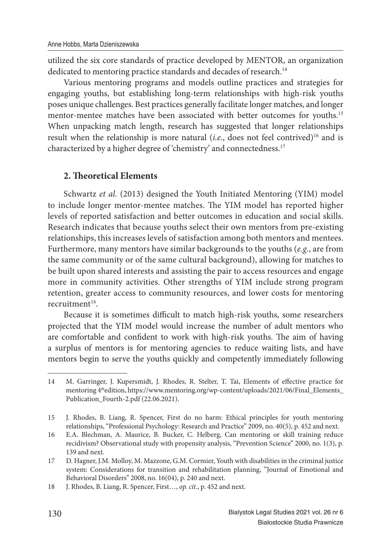utilized the six core standards of practice developed by MENTOR, an organization dedicated to mentoring practice standards and decades of research.<sup>14</sup>

Various mentoring programs and models outline practices and strategies for engaging youths, but establishing long-term relationships with high-risk youths poses unique challenges. Best practices generally facilitate longer matches, and longer mentor-mentee matches have been associated with better outcomes for youths.<sup>15</sup> When unpacking match length, research has suggested that longer relationships result when the relationship is more natural (*i.e.*, does not feel contrived)<sup>16</sup> and is characterized by a higher degree of 'chemistry' and connectedness.<sup>17</sup>

#### **2. Th eoretical Elements**

Schwartz *et al*. (2013) designed the Youth Initiated Mentoring (YIM) model to include longer mentor-mentee matches. The YIM model has reported higher levels of reported satisfaction and better outcomes in education and social skills. Research indicates that because youths select their own mentors from pre-existing relationships, this increases levels of satisfaction among both mentors and mentees. Furthermore, many mentors have similar backgrounds to the youths (*e.g*., are from the same community or of the same cultural background), allowing for matches to be built upon shared interests and assisting the pair to access resources and engage more in community activities. Other strengths of YIM include strong program retention, greater access to community resources, and lower costs for mentoring  $recruitment<sup>18</sup>$ 

Because it is sometimes difficult to match high-risk youths, some researchers projected that the YIM model would increase the number of adult mentors who are comfortable and confident to work with high-risk youths. The aim of having a surplus of mentors is for mentoring agencies to reduce waiting lists, and have mentors begin to serve the youths quickly and competently immediately following

<sup>14</sup> M. Garringer, J. Kupersmidt, J. Rhodes, R. Stelter, T. Tai, Elements of effective practice for mentoring 4<sup>th</sup>edition, https://www.mentoring.org/wp-content/uploads/2021/06/Final\_Elements\_ Publication\_Fourth-2.pdf (22.06.2021).

<sup>15</sup> J. Rhodes, B. Liang, R. Spencer, First do no harm: Ethical principles for youth mentoring relationships, "Professional Psychology: Research and Practice" 2009, no. 40(5), p. 452 and next.

<sup>16</sup> E.A. Blechman, A. Maurice, B. Bucker, C. Helberg, Can mentoring or skill training reduce recidivism? Observational study with propensity analysis, "Prevention Science" 2000, no. 1(3), p. 139 and next.

<sup>17</sup> D. Hagner, J.M. Molloy, M. Mazzone, G.M. Cormier, Youth with disabilities in the criminal justice system: Considerations for transition and rehabilitation planning, "Journal of Emotional and Behavioral Disorders" 2008, no. 16(04), p. 240 and next.

<sup>18</sup> J. Rhodes, B. Liang, R. Spencer, First…, *op. cit*., p. 452 and next.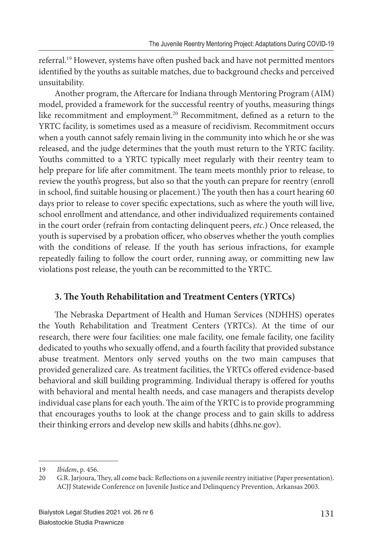referral.<sup>19</sup> However, systems have often pushed back and have not permitted mentors identified by the youths as suitable matches, due to background checks and perceived unsuitability.

Another program, the Aftercare for Indiana through Mentoring Program (AIM) model, provided a framework for the successful reentry of youths, measuring things like recommitment and employment.<sup>20</sup> Recommitment, defined as a return to the YRTC facility, is sometimes used as a measure of recidivism. Recommitment occurs when a youth cannot safely remain living in the community into which he or she was released, and the judge determines that the youth must return to the YRTC facility. Youths committed to a YRTC typically meet regularly with their reentry team to help prepare for life after commitment. The team meets monthly prior to release, to review the youth's progress, but also so that the youth can prepare for reentry (enroll in school, find suitable housing or placement.) The youth then has a court hearing 60 days prior to release to cover specific expectations, such as where the youth will live, school enrollment and attendance, and other individualized requirements contained in the court order (refrain from contacting delinquent peers, *etc*.) Once released, the youth is supervised by a probation officer, who observes whether the youth complies with the conditions of release. If the youth has serious infractions, for example repeatedly failing to follow the court order, running away, or committing new law violations post release, the youth can be recommitted to the YRTC.

### **3. The Youth Rehabilitation and Treatment Centers (YRTCs)**

The Nebraska Department of Health and Human Services (NDHHS) operates the Youth Rehabilitation and Treatment Centers (YRTCs). At the time of our research, there were four facilities: one male facility, one female facility, one facility dedicated to youths who sexually offend, and a fourth facility that provided substance abuse treatment. Mentors only served youths on the two main campuses that provided generalized care. As treatment facilities, the YRTCs offered evidence-based behavioral and skill building programming. Individual therapy is offered for youths with behavioral and mental health needs, and case managers and therapists develop individual case plans for each youth. The aim of the YRTC is to provide programming that encourages youths to look at the change process and to gain skills to address their thinking errors and develop new skills and habits (dhhs.ne.gov).

<sup>19</sup> *Ibidem*, p. 456.

<sup>20</sup> G.R. Jarjoura, They, all come back: Reflections on a juvenile reentry initiative (Paper presentation). ACJJ Statewide Conference on Juvenile Justice and Delinquency Prevention, Arkansas 2003.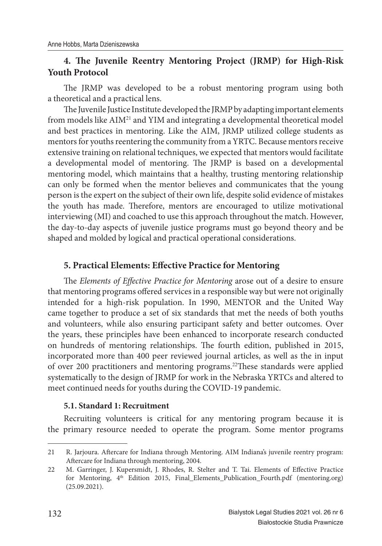### **4. The Juvenile Reentry Mentoring Project (JRMP) for High-Risk Youth Protocol**

The JRMP was developed to be a robust mentoring program using both a theoretical and a practical lens.

The Juvenile Justice Institute developed the JRMP by adapting important elements from models like AIM<sup>21</sup> and YIM and integrating a developmental theoretical model and best practices in mentoring. Like the AIM, JRMP utilized college students as mentors for youths reentering the community from a YRTC. Because mentors receive extensive training on relational techniques, we expected that mentors would facilitate a developmental model of mentoring. The JRMP is based on a developmental mentoring model, which maintains that a healthy, trusting mentoring relationship can only be formed when the mentor believes and communicates that the young person is the expert on the subject of their own life, despite solid evidence of mistakes the youth has made. Therefore, mentors are encouraged to utilize motivational interviewing (MI) and coached to use this approach throughout the match. However, the day-to-day aspects of juvenile justice programs must go beyond theory and be shaped and molded by logical and practical operational considerations.

#### **5. Practical Elements: Effective Practice for Mentoring**

The *Elements of Effective Practice for Mentoring* arose out of a desire to ensure that mentoring programs offered services in a responsible way but were not originally intended for a high-risk population. In 1990, MENTOR and the United Way came together to produce a set of six standards that met the needs of both youths and volunteers, while also ensuring participant safety and better outcomes. Over the years, these principles have been enhanced to incorporate research conducted on hundreds of mentoring relationships. The fourth edition, published in 2015, incorporated more than 400 peer reviewed journal articles, as well as the in input of over 200 practitioners and mentoring programs.<sup>22</sup>These standards were applied systematically to the design of JRMP for work in the Nebraska YRTCs and altered to meet continued needs for youths during the COVID-19 pandemic.

#### **5.1. Standard 1: Recruitment**

Recruiting volunteers is critical for any mentoring program because it is the primary resource needed to operate the program. Some mentor programs

<sup>21</sup> R. Jarjoura. Aftercare for Indiana through Mentoring. AIM Indiana's juvenile reentry program: Aftercare for Indiana through mentoring, 2004.

<sup>22</sup> M. Garringer, J. Kupersmidt, J. Rhodes, R. Stelter and T. Tai. Elements of Effective Practice for Mentoring, 4<sup>th</sup> Edition 2015, Final\_Elements\_Publication\_Fourth.pdf (mentoring.org) (25.09.2021).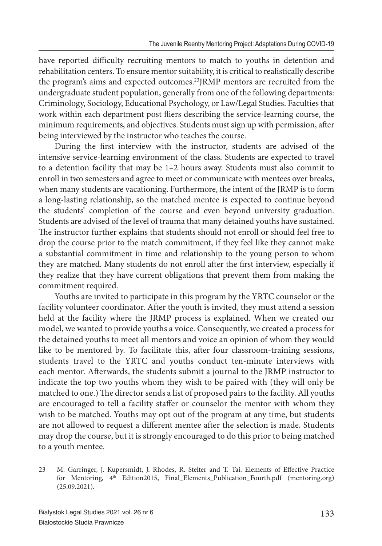have reported difficulty recruiting mentors to match to youths in detention and rehabilitation centers. To ensure mentor suitability, it is critical to realistically describe the program's aims and expected outcomes.<sup>23</sup>JRMP mentors are recruited from the undergraduate student population, generally from one of the following departments: Criminology, Sociology, Educational Psychology, or Law/Legal Studies. Faculties that work within each department post fliers describing the service-learning course, the minimum requirements, and objectives. Students must sign up with permission, after being interviewed by the instructor who teaches the course.

During the first interview with the instructor, students are advised of the intensive service-learning environment of the class. Students are expected to travel to a detention facility that may be 1–2 hours away. Students must also commit to enroll in two semesters and agree to meet or communicate with mentees over breaks, when many students are vacationing. Furthermore, the intent of the JRMP is to form a long-lasting relationship, so the matched mentee is expected to continue beyond the students' completion of the course and even beyond university graduation. Students are advised of the level of trauma that many detained youths have sustained. The instructor further explains that students should not enroll or should feel free to drop the course prior to the match commitment, if they feel like they cannot make a substantial commitment in time and relationship to the young person to whom they are matched. Many students do not enroll after the first interview, especially if they realize that they have current obligations that prevent them from making the commitment required.

Youths are invited to participate in this program by the YRTC counselor or the facility volunteer coordinator. After the youth is invited, they must attend a session held at the facility where the JRMP process is explained. When we created our model, we wanted to provide youths a voice. Consequently, we created a process for the detained youths to meet all mentors and voice an opinion of whom they would like to be mentored by. To facilitate this, after four classroom-training sessions, students travel to the YRTC and youths conduct ten-minute interviews with each mentor. Afterwards, the students submit a journal to the JRMP instructor to indicate the top two youths whom they wish to be paired with (they will only be matched to one.) The director sends a list of proposed pairs to the facility. All youths are encouraged to tell a facility staffer or counselor the mentor with whom they wish to be matched. Youths may opt out of the program at any time, but students are not allowed to request a different mentee after the selection is made. Students may drop the course, but it is strongly encouraged to do this prior to being matched to a youth mentee.

<sup>23</sup> M. Garringer, J. Kupersmidt, J. Rhodes, R. Stelter and T. Tai. Elements of Effective Practice for Mentoring, 4<sup>th</sup> Edition2015, Final\_Elements\_Publication\_Fourth.pdf (mentoring.org) (25.09.2021).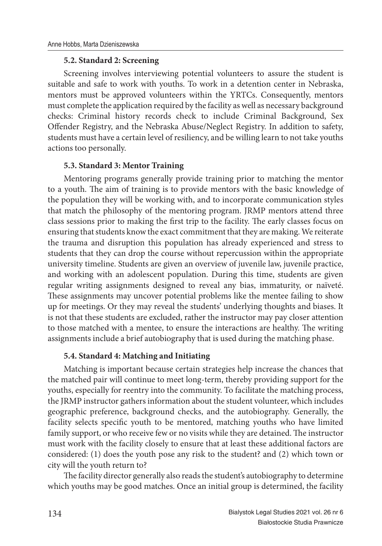#### **5.2. Standard 2: Screening**

Screening involves interviewing potential volunteers to assure the student is suitable and safe to work with youths. To work in a detention center in Nebraska, mentors must be approved volunteers within the YRTCs. Consequently, mentors must complete the application required by the facility as well as necessary background checks: Criminal history records check to include Criminal Background, Sex Offender Registry, and the Nebraska Abuse/Neglect Registry. In addition to safety, students must have a certain level of resiliency, and be willing learn to not take youths actions too personally.

#### **5.3. Standard 3: Mentor Training**

Mentoring programs generally provide training prior to matching the mentor to a youth. The aim of training is to provide mentors with the basic knowledge of the population they will be working with, and to incorporate communication styles that match the philosophy of the mentoring program. JRMP mentors attend three class sessions prior to making the first trip to the facility. The early classes focus on ensuring that students know the exact commitment that they are making. We reiterate the trauma and disruption this population has already experienced and stress to students that they can drop the course without repercussion within the appropriate university timeline. Students are given an overview of juvenile law, juvenile practice, and working with an adolescent population. During this time, students are given regular writing assignments designed to reveal any bias, immaturity, or naïveté. These assignments may uncover potential problems like the mentee failing to show up for meetings. Or they may reveal the students' underlying thoughts and biases. It is not that these students are excluded, rather the instructor may pay closer attention to those matched with a mentee, to ensure the interactions are healthy. The writing assignments include a brief autobiography that is used during the matching phase.

#### **5.4. Standard 4: Matching and Initiating**

Matching is important because certain strategies help increase the chances that the matched pair will continue to meet long-term, thereby providing support for the youths, especially for reentry into the community. To facilitate the matching process, the JRMP instructor gathers information about the student volunteer, which includes geographic preference, background checks, and the autobiography. Generally, the facility selects specific youth to be mentored, matching youths who have limited family support, or who receive few or no visits while they are detained. The instructor must work with the facility closely to ensure that at least these additional factors are considered: (1) does the youth pose any risk to the student? and (2) which town or city will the youth return to?

The facility director generally also reads the student's autobiography to determine which youths may be good matches. Once an initial group is determined, the facility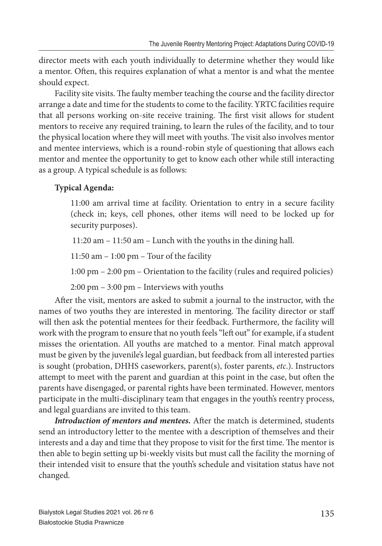director meets with each youth individually to determine whether they would like a mentor. Often, this requires explanation of what a mentor is and what the mentee should expect.

Facility site visits. The faulty member teaching the course and the facility director arrange a date and time for the students to come to the facility. YRTC facilities require that all persons working on-site receive training. The first visit allows for student mentors to receive any required training, to learn the rules of the facility, and to tour the physical location where they will meet with youths. The visit also involves mentor and mentee interviews, which is a round-robin style of questioning that allows each mentor and mentee the opportunity to get to know each other while still interacting as a group. A typical schedule is as follows:

## **Typical Agenda:**

11:00 am arrival time at facility. Orientation to entry in a secure facility (check in; keys, cell phones, other items will need to be locked up for security purposes).

11:20 am – 11:50 am – Lunch with the youths in the dining hall.

11:50 am  $-1:00$  pm  $-$  Tour of the facility

1:00 pm – 2:00 pm – Orientation to the facility (rules and required policies)

2:00 pm – 3:00 pm – Interviews with youths

After the visit, mentors are asked to submit a journal to the instructor, with the names of two youths they are interested in mentoring. The facility director or staff will then ask the potential mentees for their feedback. Furthermore, the facility will work with the program to ensure that no youth feels "left out" for example, if a student misses the orientation. All youths are matched to a mentor. Final match approval must be given by the juvenile's legal guardian, but feedback from all interested parties is sought (probation, DHHS caseworkers, parent(s), foster parents, *etc*.). Instructors attempt to meet with the parent and guardian at this point in the case, but often the parents have disengaged, or parental rights have been terminated. However, mentors participate in the multi-disciplinary team that engages in the youth's reentry process, and legal guardians are invited to this team.

*Introduction of mentors and mentees. After the match is determined, students* send an introductory letter to the mentee with a description of themselves and their interests and a day and time that they propose to visit for the first time. The mentor is then able to begin setting up bi-weekly visits but must call the facility the morning of their intended visit to ensure that the youth's schedule and visitation status have not changed.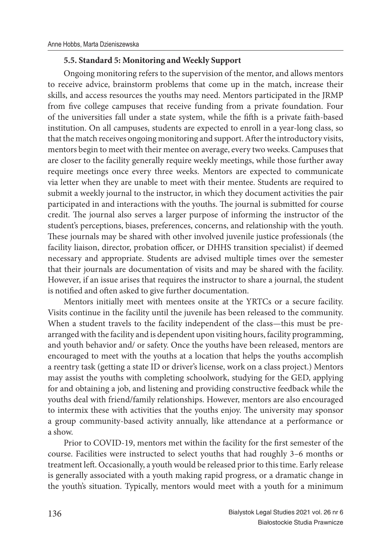#### **5.5. Standard 5: Monitoring and Weekly Support**

Ongoing monitoring refers to the supervision of the mentor, and allows mentors to receive advice, brainstorm problems that come up in the match, increase their skills, and access resources the youths may need. Mentors participated in the JRMP from five college campuses that receive funding from a private foundation. Four of the universities fall under a state system, while the fifth is a private faith-based institution. On all campuses, students are expected to enroll in a year-long class, so that the match receives ongoing monitoring and support. After the introductory visits, mentors begin to meet with their mentee on average, every two weeks. Campuses that are closer to the facility generally require weekly meetings, while those further away require meetings once every three weeks. Mentors are expected to communicate via letter when they are unable to meet with their mentee. Students are required to submit a weekly journal to the instructor, in which they document activities the pair participated in and interactions with the youths. The journal is submitted for course credit. The journal also serves a larger purpose of informing the instructor of the student's perceptions, biases, preferences, concerns, and relationship with the youth. These journals may be shared with other involved juvenile justice professionals (the facility liaison, director, probation officer, or DHHS transition specialist) if deemed necessary and appropriate. Students are advised multiple times over the semester that their journals are documentation of visits and may be shared with the facility. However, if an issue arises that requires the instructor to share a journal, the student is notified and often asked to give further documentation.

Mentors initially meet with mentees onsite at the YRTCs or a secure facility. Visits continue in the facility until the juvenile has been released to the community. When a student travels to the facility independent of the class—this must be prearranged with the facility and is dependent upon visiting hours, facility programming, and youth behavior and/ or safety. Once the youths have been released, mentors are encouraged to meet with the youths at a location that helps the youths accomplish a reentry task (getting a state ID or driver's license, work on a class project.) Mentors may assist the youths with completing schoolwork, studying for the GED, applying for and obtaining a job, and listening and providing constructive feedback while the youths deal with friend/family relationships. However, mentors are also encouraged to intermix these with activities that the youths enjoy. The university may sponsor a group community-based activity annually, like attendance at a performance or a show.

Prior to COVID-19, mentors met within the facility for the first semester of the course. Facilities were instructed to select youths that had roughly 3–6 months or treatment left. Occasionally, a youth would be released prior to this time. Early release is generally associated with a youth making rapid progress, or a dramatic change in the youth's situation. Typically, mentors would meet with a youth for a minimum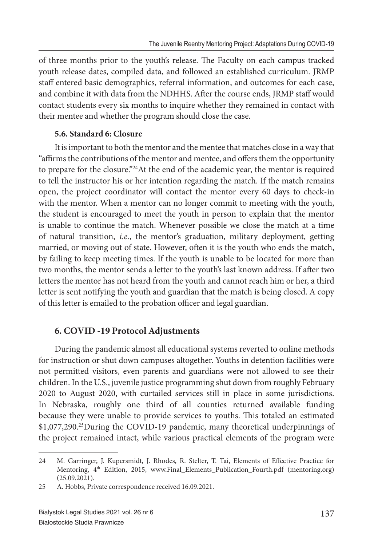of three months prior to the youth's release. The Faculty on each campus tracked youth release dates, compiled data, and followed an established curriculum. JRMP staff entered basic demographics, referral information, and outcomes for each case, and combine it with data from the NDHHS. After the course ends, JRMP staff would contact students every six months to inquire whether they remained in contact with their mentee and whether the program should close the case.

### **5.6. Standard 6: Closure**

It is important to both the mentor and the mentee that matches close in a way that "affirms the contributions of the mentor and mentee, and offers them the opportunity to prepare for the closure."<sup>24</sup>At the end of the academic year, the mentor is required to tell the instructor his or her intention regarding the match. If the match remains open, the project coordinator will contact the mentor every 60 days to check-in with the mentor. When a mentor can no longer commit to meeting with the youth, the student is encouraged to meet the youth in person to explain that the mentor is unable to continue the match. Whenever possible we close the match at a time of natural transition, *i.e*., the mentor's graduation, military deployment, getting married, or moving out of state. However, often it is the youth who ends the match, by failing to keep meeting times. If the youth is unable to be located for more than two months, the mentor sends a letter to the youth's last known address. If after two letters the mentor has not heard from the youth and cannot reach him or her, a third letter is sent notifying the youth and guardian that the match is being closed. A copy of this letter is emailed to the probation officer and legal guardian.

## **6. COVID -19 Protocol Adjustments**

During the pandemic almost all educational systems reverted to online methods for instruction or shut down campuses altogether. Youths in detention facilities were not permitted visitors, even parents and guardians were not allowed to see their children. In the U.S., juvenile justice programming shut down from roughly February 2020 to August 2020, with curtailed services still in place in some jurisdictions. In Nebraska, roughly one third of all counties returned available funding because they were unable to provide services to youths. This totaled an estimated \$1,077,290.<sup>25</sup>During the COVID-19 pandemic, many theoretical underpinnings of the project remained intact, while various practical elements of the program were

<sup>24</sup> M. Garringer, J. Kupersmidt, J. Rhodes, R. Stelter, T. Tai, Elements of Effective Practice for Mentoring, 4<sup>th</sup> Edition, 2015, www.Final\_Elements\_Publication\_Fourth.pdf (mentoring.org) (25.09.2021).

<sup>25</sup> A. Hobbs, Private correspondence received 16.09.2021.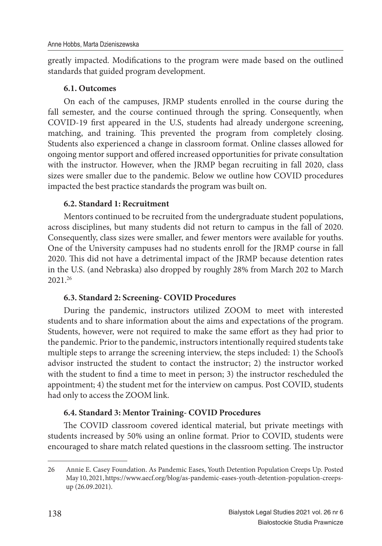greatly impacted. Modifications to the program were made based on the outlined standards that guided program development.

### **6.1. Outcomes**

On each of the campuses, JRMP students enrolled in the course during the fall semester, and the course continued through the spring. Consequently, when COVID-19 first appeared in the U.S, students had already undergone screening, matching, and training. This prevented the program from completely closing. Students also experienced a change in classroom format. Online classes allowed for ongoing mentor support and offered increased opportunities for private consultation with the instructor. However, when the JRMP began recruiting in fall 2020, class sizes were smaller due to the pandemic. Below we outline how COVID procedures impacted the best practice standards the program was built on.

### **6.2. Standard 1: Recruitment**

Mentors continued to be recruited from the undergraduate student populations, across disciplines, but many students did not return to campus in the fall of 2020. Consequently, class sizes were smaller, and fewer mentors were available for youths. One of the University campuses had no students enroll for the JRMP course in fall 2020. This did not have a detrimental impact of the JRMP because detention rates in the U.S. (and Nebraska) also dropped by roughly 28% from March 202 to March 2021.<sup>26</sup>

### **6.3. Standard 2: Screening- COVID Procedures**

During the pandemic, instructors utilized ZOOM to meet with interested students and to share information about the aims and expectations of the program. Students, however, were not required to make the same effort as they had prior to the pandemic. Prior to the pandemic, instructors intentionally required students take multiple steps to arrange the screening interview, the steps included: 1) the School's advisor instructed the student to contact the instructor; 2) the instructor worked with the student to find a time to meet in person; 3) the instructor rescheduled the appointment; 4) the student met for the interview on campus. Post COVID, students had only to access the ZOOM link.

### **6.4. Standard 3: Mentor Training- COVID Procedures**

The COVID classroom covered identical material, but private meetings with students increased by 50% using an online format. Prior to COVID, students were encouraged to share match related questions in the classroom setting. The instructor

<sup>26</sup> Annie E. Casey Foundation. As Pandemic Eases, Youth Detention Population Creeps Up. Posted May 10, 2021, https://www.aecf.org/blog/as-pandemic-eases-youth-detention-population-creepsup (26.09.2021).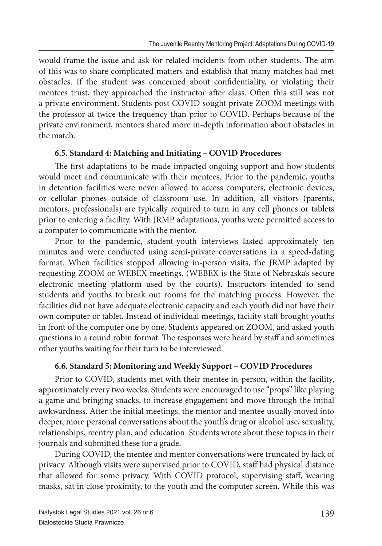would frame the issue and ask for related incidents from other students. The aim of this was to share complicated matters and establish that many matches had met obstacles. If the student was concerned about confidentiality, or violating their mentees trust, they approached the instructor after class. Often this still was not a private environment. Students post COVID sought private ZOOM meetings with the professor at twice the frequency than prior to COVID. Perhaps because of the private environment, mentors shared more in-depth information about obstacles in the match.

#### **6.5. Standard 4: Matching and Initiating – COVID Procedures**

The first adaptations to be made impacted ongoing support and how students would meet and communicate with their mentees. Prior to the pandemic, youths in detention facilities were never allowed to access computers, electronic devices, or cellular phones outside of classroom use. In addition, all visitors (parents, mentors, professionals) are typically required to turn in any cell phones or tablets prior to entering a facility. With JRMP adaptations, youths were permitted access to a computer to communicate with the mentor.

Prior to the pandemic, student-youth interviews lasted approximately ten minutes and were conducted using semi-private conversations in a speed-dating format. When facilities stopped allowing in-person visits, the JRMP adapted by requesting ZOOM or WEBEX meetings. (WEBEX is the State of Nebraska's secure electronic meeting platform used by the courts). Instructors intended to send students and youths to break out rooms for the matching process. However, the facilities did not have adequate electronic capacity and each youth did not have their own computer or tablet. Instead of individual meetings, facility staff brought youths in front of the computer one by one. Students appeared on ZOOM, and asked youth questions in a round robin format. The responses were heard by staff and sometimes other youths waiting for their turn to be interviewed.

#### **6.6. Standard 5: Monitoring and Weekly Support – COVID Procedures**

Prior to COVID, students met with their mentee in-person, within the facility, approximately every two weeks. Students were encouraged to use "props" like playing a game and bringing snacks, to increase engagement and move through the initial awkwardness. After the initial meetings, the mentor and mentee usually moved into deeper, more personal conversations about the youth's drug or alcohol use, sexuality, relationships, reentry plan, and education. Students wrote about these topics in their journals and submitted these for a grade.

During COVID, the mentee and mentor conversations were truncated by lack of privacy. Although visits were supervised prior to COVID, staff had physical distance that allowed for some privacy. With COVID protocol, supervising staff, wearing masks, sat in close proximity, to the youth and the computer screen. While this was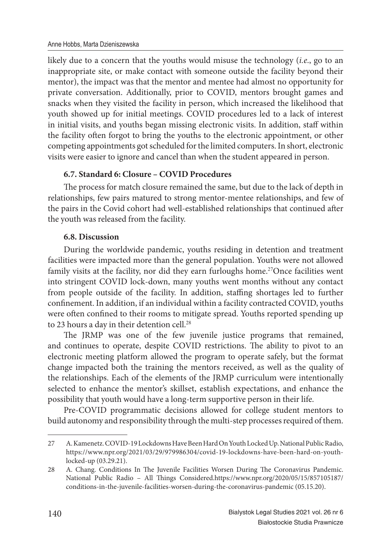likely due to a concern that the youths would misuse the technology (*i.e*., go to an inappropriate site, or make contact with someone outside the facility beyond their mentor), the impact was that the mentor and mentee had almost no opportunity for private conversation. Additionally, prior to COVID, mentors brought games and snacks when they visited the facility in person, which increased the likelihood that youth showed up for initial meetings. COVID procedures led to a lack of interest in initial visits, and youths began missing electronic visits. In addition, staff within the facility often forgot to bring the youths to the electronic appointment, or other competing appointments got scheduled for the limited computers. In short, electronic visits were easier to ignore and cancel than when the student appeared in person.

### **6.7. Standard 6: Closure – COVID Procedures**

The process for match closure remained the same, but due to the lack of depth in relationships, few pairs matured to strong mentor-mentee relationships, and few of the pairs in the Covid cohort had well-established relationships that continued after the youth was released from the facility.

### **6.8. Discussion**

During the worldwide pandemic, youths residing in detention and treatment facilities were impacted more than the general population. Youths were not allowed family visits at the facility, nor did they earn furloughs home.<sup>27</sup>Once facilities went into stringent COVID lock-down, many youths went months without any contact from people outside of the facility. In addition, staffing shortages led to further confinement. In addition, if an individual within a facility contracted COVID, youths were often confined to their rooms to mitigate spread. Youths reported spending up to 23 hours a day in their detention cell.<sup>28</sup>

The JRMP was one of the few juvenile justice programs that remained, and continues to operate, despite COVID restrictions. The ability to pivot to an electronic meeting platform allowed the program to operate safely, but the format change impacted both the training the mentors received, as well as the quality of the relationships. Each of the elements of the JRMP curriculum were intentionally selected to enhance the mentor's skillset, establish expectations, and enhance the possibility that youth would have a long-term supportive person in their life.

Pre-COVID programmatic decisions allowed for college student mentors to build autonomy and responsibility through the multi-step processes required of them.

<sup>27</sup> A. Kamenetz. COVID-19 Lockdowns Have Been Hard On Youth Locked Up. National Public Radio, https://www.npr.org/2021/03/29/979986304/covid-19-lockdowns-have-been-hard-on-youthlocked-up (03.29.21).

<sup>28</sup> A. Chang. Conditions In The Juvenile Facilities Worsen During The Coronavirus Pandemic. National Public Radio - All Things Considered.https://www.npr.org/2020/05/15/857105187/ conditions-in-the-juvenile-facilities-worsen-during-the-coronavirus-pandemic (05.15.20).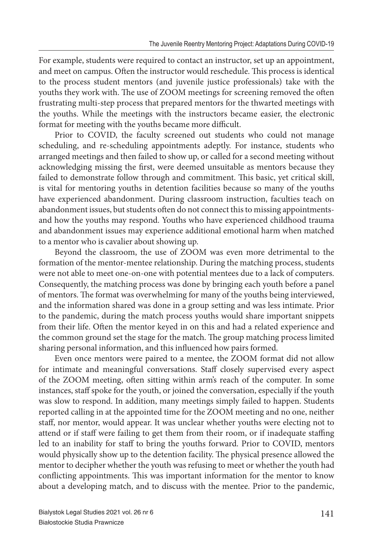For example, students were required to contact an instructor, set up an appointment, and meet on campus. Often the instructor would reschedule. This process is identical to the process student mentors (and juvenile justice professionals) take with the youths they work with. The use of ZOOM meetings for screening removed the often frustrating multi-step process that prepared mentors for the thwarted meetings with the youths. While the meetings with the instructors became easier, the electronic format for meeting with the youths became more difficult.

Prior to COVID, the faculty screened out students who could not manage scheduling, and re-scheduling appointments adeptly. For instance, students who arranged meetings and then failed to show up, or called for a second meeting without acknowledging missing the first, were deemed unsuitable as mentors because they failed to demonstrate follow through and commitment. This basic, yet critical skill, is vital for mentoring youths in detention facilities because so many of the youths have experienced abandonment. During classroom instruction, faculties teach on abandonment issues, but students often do not connect this to missing appointmentsand how the youths may respond. Youths who have experienced childhood trauma and abandonment issues may experience additional emotional harm when matched to a mentor who is cavalier about showing up.

Beyond the classroom, the use of ZOOM was even more detrimental to the formation of the mentor-mentee relationship. During the matching process, students were not able to meet one-on-one with potential mentees due to a lack of computers. Consequently, the matching process was done by bringing each youth before a panel of mentors. The format was overwhelming for many of the youths being interviewed, and the information shared was done in a group setting and was less intimate. Prior to the pandemic, during the match process youths would share important snippets from their life. Often the mentor keyed in on this and had a related experience and the common ground set the stage for the match. The group matching process limited sharing personal information, and this influenced how pairs formed.

Even once mentors were paired to a mentee, the ZOOM format did not allow for intimate and meaningful conversations. Staff closely supervised every aspect of the ZOOM meeting, often sitting within arm's reach of the computer. In some instances, staff spoke for the youth, or joined the conversation, especially if the youth was slow to respond. In addition, many meetings simply failed to happen. Students reported calling in at the appointed time for the ZOOM meeting and no one, neither staff, nor mentor, would appear. It was unclear whether youths were electing not to attend or if staff were failing to get them from their room, or if inadequate staffing led to an inability for staff to bring the youths forward. Prior to COVID, mentors would physically show up to the detention facility. The physical presence allowed the mentor to decipher whether the youth was refusing to meet or whether the youth had conflicting appointments. This was important information for the mentor to know about a developing match, and to discuss with the mentee. Prior to the pandemic,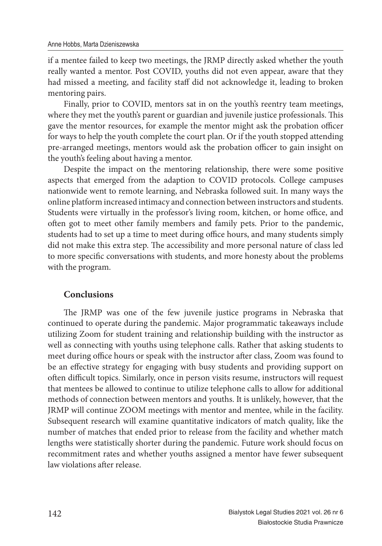if a mentee failed to keep two meetings, the JRMP directly asked whether the youth really wanted a mentor. Post COVID, youths did not even appear, aware that they had missed a meeting, and facility staff did not acknowledge it, leading to broken mentoring pairs.

Finally, prior to COVID, mentors sat in on the youth's reentry team meetings, where they met the youth's parent or guardian and juvenile justice professionals. This gave the mentor resources, for example the mentor might ask the probation officer for ways to help the youth complete the court plan. Or if the youth stopped attending pre-arranged meetings, mentors would ask the probation officer to gain insight on the youth's feeling about having a mentor.

Despite the impact on the mentoring relationship, there were some positive aspects that emerged from the adaption to COVID protocols. College campuses nationwide went to remote learning, and Nebraska followed suit. In many ways the online platform increased intimacy and connection between instructors and students. Students were virtually in the professor's living room, kitchen, or home office, and often got to meet other family members and family pets. Prior to the pandemic, students had to set up a time to meet during office hours, and many students simply did not make this extra step. The accessibility and more personal nature of class led to more specific conversations with students, and more honesty about the problems with the program.

#### **Conclusions**

The JRMP was one of the few juvenile justice programs in Nebraska that continued to operate during the pandemic. Major programmatic takeaways include utilizing Zoom for student training and relationship building with the instructor as well as connecting with youths using telephone calls. Rather that asking students to meet during office hours or speak with the instructor after class, Zoom was found to be an effective strategy for engaging with busy students and providing support on often difficult topics. Similarly, once in person visits resume, instructors will request that mentees be allowed to continue to utilize telephone calls to allow for additional methods of connection between mentors and youths. It is unlikely, however, that the JRMP will continue ZOOM meetings with mentor and mentee, while in the facility. Subsequent research will examine quantitative indicators of match quality, like the number of matches that ended prior to release from the facility and whether match lengths were statistically shorter during the pandemic. Future work should focus on recommitment rates and whether youths assigned a mentor have fewer subsequent law violations after release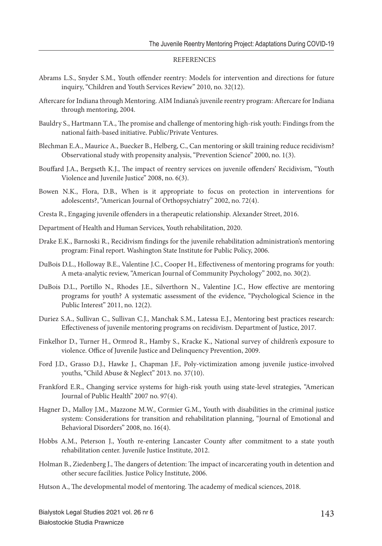#### **REFERENCES**

- Abrams L.S., Snyder S.M., Youth offender reentry: Models for intervention and directions for future inquiry, "Children and Youth Services Review" 2010, no. 32(12).
- Aftercare for Indiana through Mentoring. AIM Indiana's juvenile reentry program: Aftercare for Indiana through mentoring, 2004.
- Bauldry S., Hartmann T.A., The promise and challenge of mentoring high-risk youth: Findings from the national faith-based initiative. Public/Private Ventures.
- Blechman E.A., Maurice A., Buecker B., Helberg, C., Can mentoring or skill training reduce recidivism? Observational study with propensity analysis, "Prevention Science" 2000, no. 1(3).
- Bouffard J.A., Bergseth K.J., The impact of reentry services on juvenile offenders' Recidivism, "Youth Violence and Juvenile Justice" 2008, no. 6(3).
- Bowen N.K., Flora, D.B., When is it appropriate to focus on protection in interventions for adolescents?, "American Journal of Orthopsychiatry" 2002, no. 72(4).
- Cresta R., Engaging juvenile offenders in a therapeutic relationship. Alexander Street, 2016.
- Department of Health and Human Services, Youth rehabilitation, 2020.
- Drake E.K., Barnoski R., Recidivism findings for the juvenile rehabilitation administration's mentoring program: Final report. Washington State Institute for Public Policy, 2006.
- DuBois D.L., Holloway B.E., Valentine J.C., Cooper H., Effectiveness of mentoring programs for youth: A meta‐analytic review, "American Journal of Community Psychology" 2002, no. 30(2).
- DuBois D.L., Portillo N., Rhodes J.E., Silverthorn N., Valentine J.C., How effective are mentoring programs for youth? A systematic assessment of the evidence, "Psychological Science in the Public Interest" 2011, no. 12(2).
- Duriez S.A., Sullivan C., Sullivan C.J., Manchak S.M., Latessa E.J., Mentoring best practices research: Effectiveness of juvenile mentoring programs on recidivism. Department of Justice, 2017.
- Finkelhor D., Turner H., Ormrod R., Hamby S., Kracke K., National survey of children's exposure to violence. Office of Juvenile Justice and Delinquency Prevention, 2009.
- Ford J.D., Grasso D.J., Hawke J., Chapman J.F., Poly-victimization among juvenile justice-involved youths, "Child Abuse & Neglect" 2013. no. 37(10).
- Frankford E.R., Changing service systems for high-risk youth using state-level strategies, "American Journal of Public Health" 2007 no. 97(4).
- Hagner D., Malloy J.M., Mazzone M.W., Cormier G.M., Youth with disabilities in the criminal justice system: Considerations for transition and rehabilitation planning, "Journal of Emotional and Behavioral Disorders" 2008, no. 16(4).
- Hobbs A.M., Peterson J., Youth re-entering Lancaster County after commitment to a state youth rehabilitation center. Juvenile Justice Institute, 2012.
- Holman B., Ziedenberg J., The dangers of detention: The impact of incarcerating youth in detention and other secure facilities. Justice Policy Institute, 2006.
- Hutson A., The developmental model of mentoring. The academy of medical sciences, 2018.